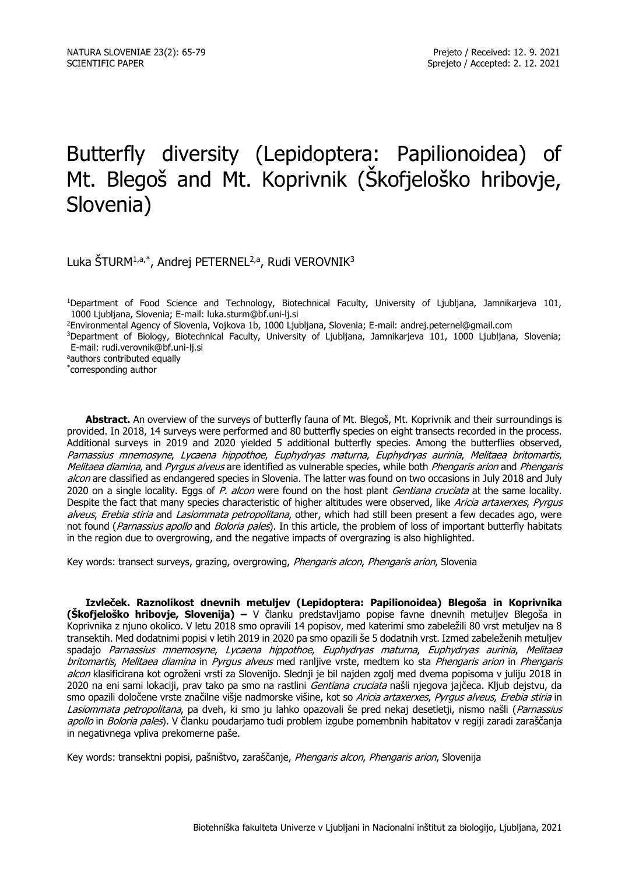# Butterfly diversity (Lepidoptera: Papilionoidea) of Mt. Blegoš and Mt. Koprivnik (Škofjeloško hribovje, Slovenia)

Luka ŠTURM<sup>1,a,\*</sup>, Andrej PETERNEL<sup>2,a</sup>, Rudi VEROVNIK<sup>3</sup>

<sup>1</sup>Department of Food Science and Technology, Biotechnical Faculty, University of Ljubljana, Jamnikarjeva 101, 1000 Ljubljana, Slovenia; E-mail: luka.sturm@bf.uni-lj.si

<sup>2</sup>Environmental Agency of Slovenia, Vojkova 1b, 1000 Ljubljana, Slovenia; E-mail: andrej.peternel@gmail.com

<sup>3</sup>Department of Biology, Biotechnical Faculty, University of Ljubljana, Jamnikarjeva 101, 1000 Ljubljana, Slovenia; E-mail: rudi.verovnik@bf.uni-lj.si

aauthors contributed equally

\* corresponding author

**Abstract.** An overview of the surveys of butterfly fauna of Mt. Blegoš, Mt. Koprivnik and their surroundings is provided. In 2018, 14 surveys were performed and 80 butterfly species on eight transects recorded in the process. Additional surveys in 2019 and 2020 yielded 5 additional butterfly species. Among the butterflies observed, Parnassius mnemosyne, Lycaena hippothoe, Euphydryas maturna, Euphydryas aurinia, Melitaea britomartis, Melitaea diamina, and Pyrgus alveus are identified as vulnerable species, while both Phengaris arion and Phengaris alcon are classified as endangered species in Slovenia. The latter was found on two occasions in July 2018 and July 2020 on a single locality. Eggs of P. alcon were found on the host plant Gentiana cruciata at the same locality. Despite the fact that many species characteristic of higher altitudes were observed, like Aricia artaxerxes, Pyrgus alveus, Erebia stiria and Lasiommata petropolitana, other, which had still been present a few decades ago, were not found (Parnassius apollo and Boloria pales). In this article, the problem of loss of important butterfly habitats in the region due to overgrowing, and the negative impacts of overgrazing is also highlighted.

Key words: transect surveys, grazing, overgrowing, Phengaris alcon, Phengaris arion, Slovenia

**Izvleček. Raznolikost dnevnih metuljev (Lepidoptera: Papilionoidea) Blegoša in Koprivnika (Škofjeloško hribovje, Slovenija) –** V članku predstavljamo popise favne dnevnih metuljev Blegoša in Koprivnika z njuno okolico. V letu 2018 smo opravili 14 popisov, med katerimi smo zabeležili 80 vrst metuljev na 8 transektih. Med dodatnimi popisi v letih 2019 in 2020 pa smo opazili še 5 dodatnih vrst. Izmed zabeleženih metuljev spadajo Parnassius mnemosyne, Lycaena hippothoe, Euphydryas maturna, Euphydryas aurinia, Melitaea britomartis, Melitaea diamina in Pyrgus alveus med ranljive vrste, medtem ko sta Phengaris arion in Phengaris alcon klasificirana kot ogroženi vrsti za Slovenijo. Slednji je bil najden zgolj med dvema popisoma v juliju 2018 in 2020 na eni sami lokaciji, prav tako pa smo na rastlini *Gentiana cruciata* našli njegova jajčeca. Kljub dejstvu, da smo opazili določene vrste značilne višje nadmorske višine, kot so Aricia artaxerxes, Pyrgus alveus, Erebia stiria in Lasiommata petropolitana, pa dveh, ki smo ju lahko opazovali še pred nekaj desetletji, nismo našli (Parnassius apollo in Boloria pales). V članku poudarjamo tudi problem izgube pomembnih habitatov v regiji zaradi zaraščanja in negativnega vpliva prekomerne paše.

Key words: transektni popisi, pašništvo, zaraščanje, Phengaris alcon, Phengaris arion, Slovenija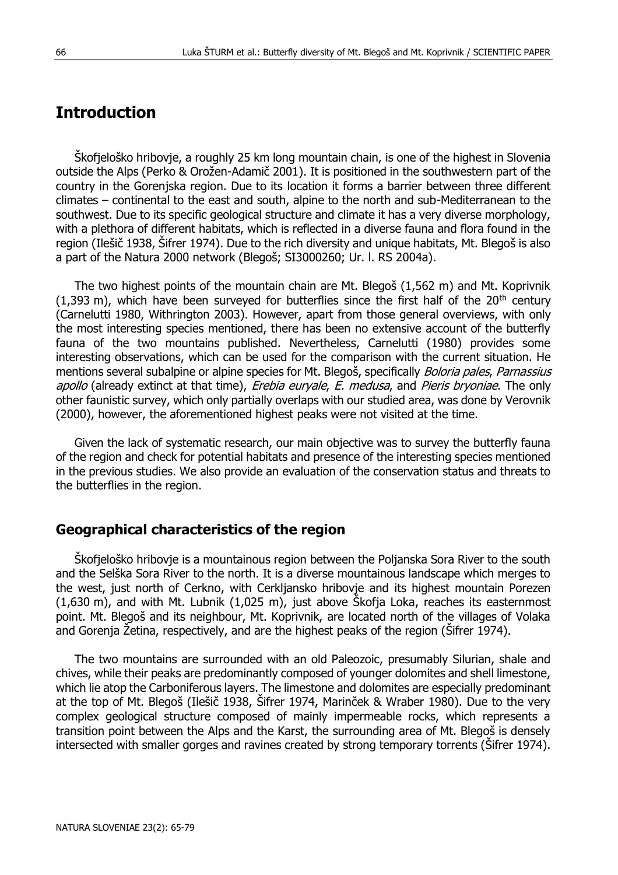## **Introduction**

Škofjeloško hribovje, a roughly 25 km long mountain chain, is one of the highest in Slovenia outside the Alps (Perko & Orožen-Adamič 2001). It is positioned in the southwestern part of the country in the Gorenjska region. Due to its location it forms a barrier between three different climates – continental to the east and south, alpine to the north and sub-Mediterranean to the southwest. Due to its specific geological structure and climate it has a very diverse morphology, with a plethora of different habitats, which is reflected in a diverse fauna and flora found in the region (Ilešič 1938, Šifrer 1974). Due to the rich diversity and unique habitats, Mt. Blegoš is also a part of the Natura 2000 network (Blegoš; SI3000260; Ur. l. RS 2004a).

The two highest points of the mountain chain are Mt. Blegoš (1,562 m) and Mt. Koprivnik  $(1,393 \text{ m})$ , which have been surveyed for butterflies since the first half of the 20<sup>th</sup> century (Carnelutti 1980, Withrington 2003). However, apart from those general overviews, with only the most interesting species mentioned, there has been no extensive account of the butterfly fauna of the two mountains published. Nevertheless, Carnelutti (1980) provides some interesting observations, which can be used for the comparison with the current situation. He mentions several subalpine or alpine species for Mt. Blegoš, specifically *Boloria pales, Parnassius* apollo (already extinct at that time), *Erebia euryale, E. medusa*, and Pieris bryoniae. The only other faunistic survey, which only partially overlaps with our studied area, was done by Verovnik (2000), however, the aforementioned highest peaks were not visited at the time.

Given the lack of systematic research, our main objective was to survey the butterfly fauna of the region and check for potential habitats and presence of the interesting species mentioned in the previous studies. We also provide an evaluation of the conservation status and threats to the butterflies in the region.

#### **Geographical characteristics of the region**

Skofjeloško hribovje is a mountainous region between the Poljanska Sora River to the south and the Selška Sora River to the north. It is a diverse mountainous landscape which merges to the west, just north of Cerkno, with Cerkljansko hribovje and its highest mountain Porezen (1,630 m), and with Mt. Lubnik (1,025 m), just above Škofja Loka, reaches its easternmost point. Mt. Blegoš and its neighbour, Mt. Koprivnik, are located north of the villages of Volaka and Gorenja Žetina, respectively, and are the highest peaks of the region (Šifrer 1974).

The two mountains are surrounded with an old Paleozoic, presumably Silurian, shale and chives, while their peaks are predominantly composed of younger dolomites and shell limestone, which lie atop the Carboniferous layers. The limestone and dolomites are especially predominant at the top of Mt. Blegoš (Ilešič 1938, Šifrer 1974, Marinček & Wraber 1980). Due to the very complex geological structure composed of mainly impermeable rocks, which represents a transition point between the Alps and the Karst, the surrounding area of Mt. Blegoš is densely intersected with smaller gorges and ravines created by strong temporary torrents (Šifrer 1974).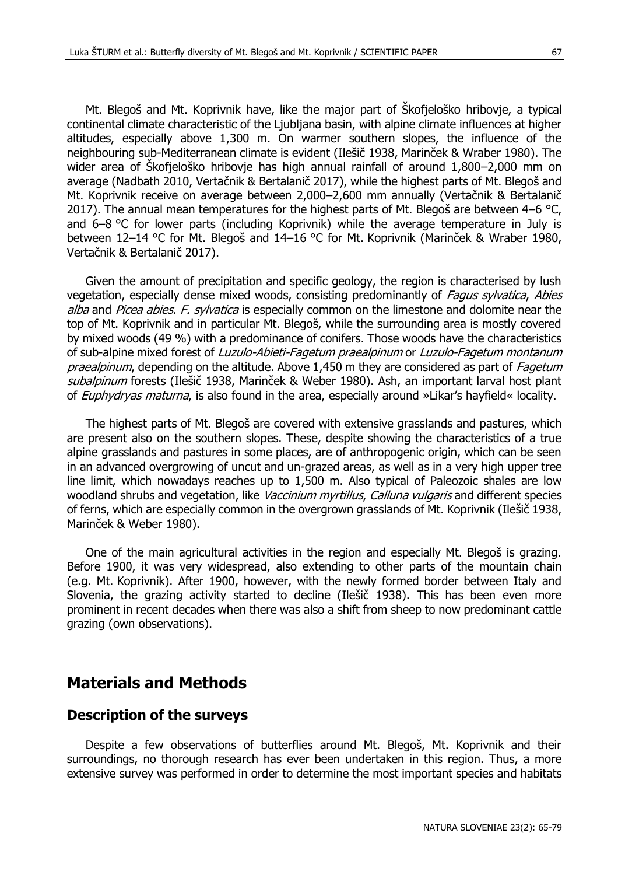Mt. Blegoš and Mt. Koprivnik have, like the major part of Škofjeloško hribovje, a typical continental climate characteristic of the Ljubljana basin, with alpine climate influences at higher altitudes, especially above 1,300 m. On warmer southern slopes, the influence of the neighbouring sub-Mediterranean climate is evident (Ilešič 1938, Marinček & Wraber 1980). The wider area of Škofjeloško hribovje has high annual rainfall of around 1,800–2,000 mm on average (Nadbath 2010, Vertačnik & Bertalanič 2017), while the highest parts of Mt. Blegoš and Mt. Koprivnik receive on average between 2,000–2,600 mm annually (Vertačnik & Bertalanič 2017). The annual mean temperatures for the highest parts of Mt. Blegoš are between  $4-6$  °C, and 6–8 °C for lower parts (including Koprivnik) while the average temperature in July is between 12–14 °C for Mt. Blegoš and 14–16 °C for Mt. Koprivnik (Marinček & Wraber 1980,

Given the amount of precipitation and specific geology, the region is characterised by lush vegetation, especially dense mixed woods, consisting predominantly of *Fagus sylvatica, Abies* alba and Picea abies. F. sylvatica is especially common on the limestone and dolomite near the top of Mt. Koprivnik and in particular Mt. Blegoš, while the surrounding area is mostly covered by mixed woods (49 %) with a predominance of conifers. Those woods have the characteristics of sub-alpine mixed forest of Luzulo-Abieti-Fagetum praealpinum or Luzulo-Fagetum montanum praealpinum, depending on the altitude. Above 1,450 m they are considered as part of Fagetum subalpinum forests (Ilešič 1938, Marinček & Weber 1980). Ash, an important larval host plant of *Euphydryas maturna*, is also found in the area, especially around »Likar's hayfield« locality.

The highest parts of Mt. Blegoš are covered with extensive grasslands and pastures, which are present also on the southern slopes. These, despite showing the characteristics of a true alpine grasslands and pastures in some places, are of anthropogenic origin, which can be seen in an advanced overgrowing of uncut and un-grazed areas, as well as in a very high upper tree line limit, which nowadays reaches up to 1,500 m. Also typical of Paleozoic shales are low woodland shrubs and vegetation, like Vaccinium myrtillus, Calluna vulgaris and different species of ferns, which are especially common in the overgrown grasslands of Mt. Koprivnik (Ilešič 1938, Marinček & Weber 1980).

One of the main agricultural activities in the region and especially Mt. Blegoš is grazing. Before 1900, it was very widespread, also extending to other parts of the mountain chain (e.g. Mt. Koprivnik). After 1900, however, with the newly formed border between Italy and Slovenia, the grazing activity started to decline (Ilešič 1938). This has been even more prominent in recent decades when there was also a shift from sheep to now predominant cattle grazing (own observations).

## **Materials and Methods**

Vertačnik & Bertalanič 2017).

#### **Description of the surveys**

Despite a few observations of butterflies around Mt. Blegoš, Mt. Koprivnik and their surroundings, no thorough research has ever been undertaken in this region. Thus, a more extensive survey was performed in order to determine the most important species and habitats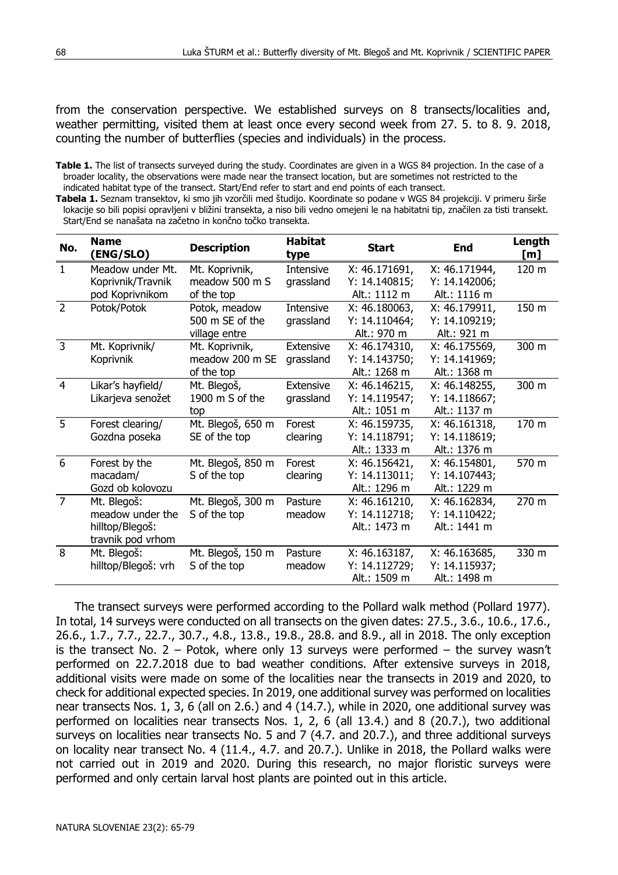from the conservation perspective. We established surveys on 8 transects/localities and, weather permitting, visited them at least once every second week from 27. 5. to 8. 9. 2018, counting the number of butterflies (species and individuals) in the process.

**Tabela 1.** Seznam transektov, ki smo jih vzorčili med študijo. Koordinate so podane v WGS 84 projekciji. V primeru širše lokacije so bili popisi opravljeni v bližini transekta, a niso bili vedno omejeni le na habitatni tip, značilen za tisti transekt. Start/End se nanašata na začetno in končno točko transekta.

| No.            | <b>Name</b><br>(ENG/SLO) | <b>Description</b> | <b>Habitat</b><br>type | <b>Start</b>  | End           | Length<br>[m] |
|----------------|--------------------------|--------------------|------------------------|---------------|---------------|---------------|
| $\mathbf{1}$   | Meadow under Mt.         | Mt. Koprivnik,     | Intensive              | X: 46.171691, | X: 46.171944, | 120 m         |
|                | Koprivnik/Travnik        | meadow 500 m S     | grassland              | Y: 14.140815; | Y: 14.142006; |               |
|                | pod Koprivnikom          | of the top         |                        | Alt.: 1112 m  | Alt.: 1116 m  |               |
| $\overline{z}$ | Potok/Potok              | Potok, meadow      | Intensive              | X: 46.180063, | X: 46.179911, | 150 m         |
|                |                          | 500 m SE of the    | grassland              | Y: 14.110464; | Y: 14.109219; |               |
|                |                          | village entre      |                        | Alt.: 970 m   | Alt.: 921 m   |               |
| 3              | Mt. Koprivnik/           | Mt. Koprivnik,     | Extensive              | X: 46.174310, | X: 46.175569, | 300 m         |
|                | Koprivnik                | meadow 200 m SE    | grassland              | Y: 14.143750; | Y: 14.141969; |               |
|                |                          | of the top         |                        | Alt.: 1268 m  | Alt.: 1368 m  |               |
| $\overline{4}$ | Likar's hayfield/        | Mt. Blegoš,        | Extensive              | X: 46.146215, | X: 46.148255, | 300 m         |
|                | Likarjeva senožet        | 1900 m S of the    | grassland              | Y: 14.119547; | Y: 14.118667; |               |
|                |                          | top                |                        | Alt.: 1051 m  | Alt.: 1137 m  |               |
| -5             | Forest clearing/         | Mt. Blegoš, 650 m  | Forest                 | X: 46.159735, | X: 46.161318, | 170 m         |
|                | Gozdna poseka            | SE of the top      | clearing               | Y: 14.118791; | Y: 14.118619; |               |
|                |                          |                    |                        | Alt.: 1333 m  | Alt.: 1376 m  |               |
| 6              | Forest by the            | Mt. Blegoš, 850 m  | Forest                 | X: 46.156421, | X: 46.154801, | 570 m         |
|                | macadam/                 | S of the top       | clearing               | Y: 14.113011; | Y: 14.107443; |               |
|                | Gozd ob kolovozu         |                    |                        | Alt.: 1296 m  | Alt.: 1229 m  |               |
| $\overline{7}$ | Mt. Blegoš:              | Mt. Blegoš, 300 m  | Pasture                | X: 46.161210, | X: 46.162834, | 270 m         |
|                | meadow under the         | S of the top       | meadow                 | Y: 14.112718; | Y: 14.110422; |               |
|                | hilltop/Blegoš:          |                    |                        | Alt.: 1473 m  | Alt.: 1441 m  |               |
|                | travnik pod vrhom        |                    |                        |               |               |               |
| 8              | Mt. Blegoš:              | Mt. Blegoš, 150 m  | Pasture                | X: 46.163187, | X: 46.163685, | 330 m         |
|                | hilltop/Blegoš: vrh      | S of the top       | meadow                 | Y: 14.112729; | Y: 14.115937; |               |
|                |                          |                    |                        | Alt.: 1509 m  | Alt.: 1498 m  |               |

The transect surveys were performed according to the Pollard walk method (Pollard 1977). In total, 14 surveys were conducted on all transects on the given dates: 27.5., 3.6., 10.6., 17.6., 26.6., 1.7., 7.7., 22.7., 30.7., 4.8., 13.8., 19.8., 28.8. and 8.9., all in 2018. The only exception is the transect No.  $2 -$  Potok, where only 13 surveys were performed  $-$  the survey wasn't performed on 22.7.2018 due to bad weather conditions. After extensive surveys in 2018, additional visits were made on some of the localities near the transects in 2019 and 2020, to check for additional expected species. In 2019, one additional survey was performed on localities near transects Nos. 1, 3, 6 (all on 2.6.) and 4 (14.7.), while in 2020, one additional survey was performed on localities near transects Nos. 1, 2, 6 (all 13.4.) and 8 (20.7.), two additional surveys on localities near transects No. 5 and 7 (4.7. and 20.7.), and three additional surveys on locality near transect No. 4 (11.4., 4.7. and 20.7.). Unlike in 2018, the Pollard walks were not carried out in 2019 and 2020. During this research, no major floristic surveys were performed and only certain larval host plants are pointed out in this article.

**Table 1.** The list of transects surveyed during the study. Coordinates are given in a WGS 84 projection. In the case of a broader locality, the observations were made near the transect location, but are sometimes not restricted to the indicated habitat type of the transect. Start/End refer to start and end points of each transect.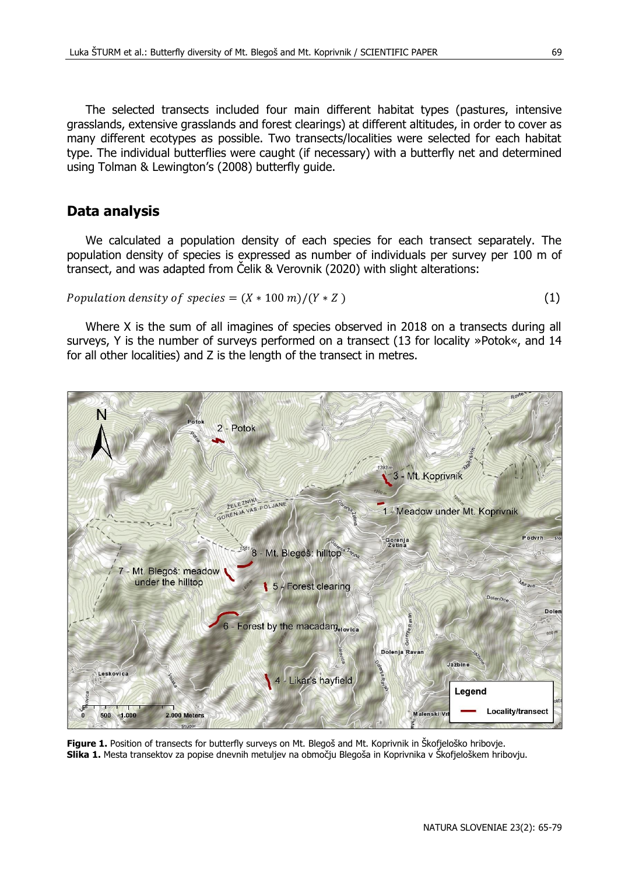The selected transects included four main different habitat types (pastures, intensive grasslands, extensive grasslands and forest clearings) at different altitudes, in order to cover as many different ecotypes as possible. Two transects/localities were selected for each habitat type. The individual butterflies were caught (if necessary) with a butterfly net and determined using Tolman & Lewington's (2008) butterfly guide.

#### **Data analysis**

We calculated a population density of each species for each transect separately. The population density of species is expressed as number of individuals per survey per 100 m of transect, and was adapted from Čelik & Verovnik (2020) with slight alterations:

Population density of species = 
$$
(X * 100 \, \text{m})/(Y * Z)
$$
 (1)

Where X is the sum of all imagines of species observed in 2018 on a transects during all surveys, Y is the number of surveys performed on a transect (13 for locality »Potok«, and 14 for all other localities) and Z is the length of the transect in metres.



**Figure 1.** Position of transects for butterfly surveys on Mt. Blegoš and Mt. Koprivnik in Škofjeloško hribovje. **Slika 1.** Mesta transektov za popise dnevnih metuljev na območju Blegoša in Koprivnika v Škofjeloškem hribovju.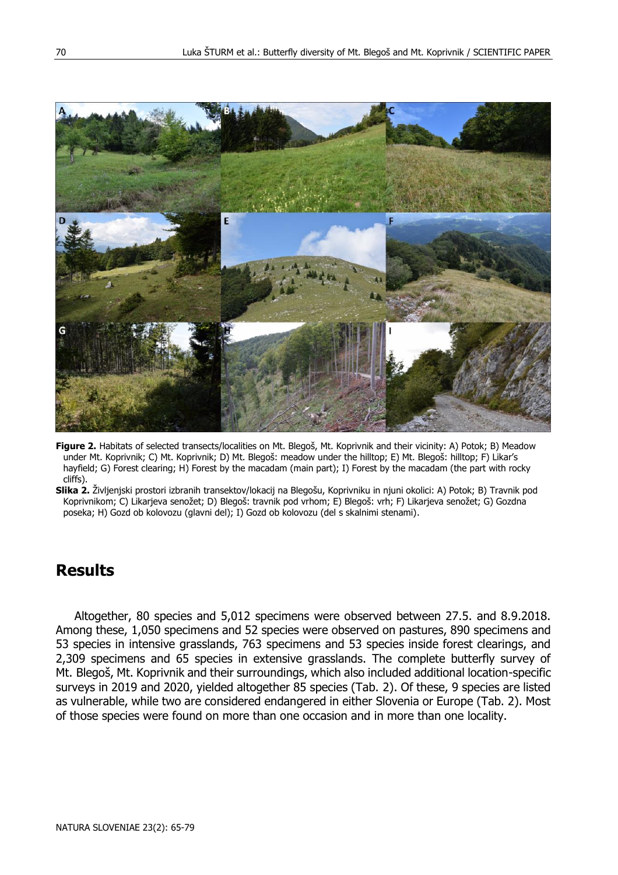

**Figure 2.** Habitats of selected transects/localities on Mt. Blegoš, Mt. Koprivnik and their vicinity: A) Potok; B) Meadow under Mt. Koprivnik; C) Mt. Koprivnik; D) Mt. Blegoš: meadow under the hilltop; E) Mt. Blegoš: hilltop; F) Likar's hayfield; G) Forest clearing; H) Forest by the macadam (main part); I) Forest by the macadam (the part with rocky cliffs).

**Slika 2.** Življenjski prostori izbranih transektov/lokacij na Blegošu, Koprivniku in njuni okolici: A) Potok; B) Travnik pod Koprivnikom; C) Likarjeva senožet; D) Blegoš: travnik pod vrhom; E) Blegoš: vrh; F) Likarjeva senožet; G) Gozdna poseka; H) Gozd ob kolovozu (glavni del); I) Gozd ob kolovozu (del s skalnimi stenami).

## **Results**

Altogether, 80 species and 5,012 specimens were observed between 27.5. and 8.9.2018. Among these, 1,050 specimens and 52 species were observed on pastures, 890 specimens and 53 species in intensive grasslands, 763 specimens and 53 species inside forest clearings, and 2,309 specimens and 65 species in extensive grasslands. The complete butterfly survey of Mt. Blegoš, Mt. Koprivnik and their surroundings, which also included additional location-specific surveys in 2019 and 2020, yielded altogether 85 species (Tab. 2). Of these, 9 species are listed as vulnerable, while two are considered endangered in either Slovenia or Europe (Tab. 2). Most of those species were found on more than one occasion and in more than one locality.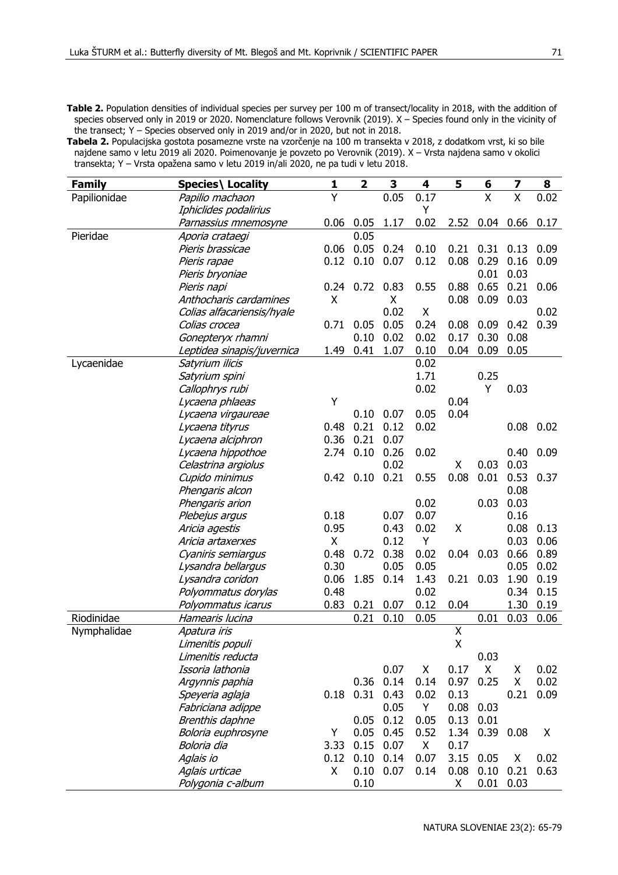Table 2. Population densities of individual species per survey per 100 m of transect/locality in 2018, with the addition of species observed only in 2019 or 2020. Nomenclature follows Verovnik (2019). X – Species found only in the vicinity of the transect; Y – Species observed only in 2019 and/or in 2020, but not in 2018.

**Tabela 2.** Populacijska gostota posamezne vrste na vzorčenje na 100 m transekta v 2018, z dodatkom vrst, ki so bile najdene samo v letu 2019 ali 2020. Poimenovanje je povzeto po Verovnik (2019). X – Vrsta najdena samo v okolici transekta; Y – Vrsta opažena samo v letu 2019 in/ali 2020, ne pa tudi v letu 2018.

| <b>Family</b> | Species\ Locality          | 1    | $\overline{\mathbf{2}}$ | 3    | 4    | 5                       | 6    | 7                       | 8    |
|---------------|----------------------------|------|-------------------------|------|------|-------------------------|------|-------------------------|------|
| Papilionidae  | Papilio machaon            | Υ    |                         | 0.05 | 0.17 |                         | X    | $\overline{\mathsf{x}}$ | 0.02 |
|               | Iphiclides podalirius      |      |                         |      | Y    |                         |      |                         |      |
|               | Parnassius mnemosyne       | 0.06 | 0.05                    | 1.17 | 0.02 | 2.52                    | 0.04 | 0.66                    | 0.17 |
| Pieridae      | Aporia crataegi            |      | 0.05                    |      |      |                         |      |                         |      |
|               | Pieris brassicae           | 0.06 | 0.05                    | 0.24 | 0.10 | 0.21                    | 0.31 | 0.13                    | 0.09 |
|               | Pieris rapae               | 0.12 | 0.10                    | 0.07 | 0.12 | 0.08                    | 0.29 | 0.16                    | 0.09 |
|               | Pieris bryoniae            |      |                         |      |      |                         | 0.01 | 0.03                    |      |
|               | Pieris napi                | 0.24 | 0.72                    | 0.83 | 0.55 | 0.88                    | 0.65 | 0.21                    | 0.06 |
|               | Anthocharis cardamines     | X    |                         | Χ    |      | 0.08                    | 0.09 | 0.03                    |      |
|               | Colias alfacariensis/hyale |      |                         | 0.02 | X    |                         |      |                         | 0.02 |
|               | Colias crocea              | 0.71 | 0.05                    | 0.05 | 0.24 | 0.08                    | 0.09 | 0.42                    | 0.39 |
|               | Gonepteryx rhamni          |      | 0.10                    | 0.02 | 0.02 | 0.17                    | 0.30 | 0.08                    |      |
|               | Leptidea sinapis/juvernica | 1.49 | 0.41                    | 1.07 | 0.10 | 0.04                    | 0.09 | 0.05                    |      |
| Lycaenidae    | Satyrium ilicis            |      |                         |      | 0.02 |                         |      |                         |      |
|               | Satyrium spini             |      |                         |      | 1.71 |                         | 0.25 |                         |      |
|               | Callophrys rubi            |      |                         |      | 0.02 |                         | Υ    | 0.03                    |      |
|               | Lycaena phlaeas            | Υ    |                         |      |      | 0.04                    |      |                         |      |
|               | Lycaena virgaureae         |      | 0.10                    | 0.07 | 0.05 | 0.04                    |      |                         |      |
|               | Lycaena tityrus            | 0.48 | 0.21                    | 0.12 | 0.02 |                         |      | 0.08                    | 0.02 |
|               | Lycaena alciphron          | 0.36 | 0.21                    | 0.07 |      |                         |      |                         |      |
|               | Lycaena hippothoe          | 2.74 | 0.10                    | 0.26 | 0.02 |                         |      | 0.40                    | 0.09 |
|               | Celastrina argiolus        |      |                         | 0.02 |      | Χ                       | 0.03 | 0.03                    |      |
|               | Cupido minimus             | 0.42 | 0.10                    | 0.21 | 0.55 | 0.08                    | 0.01 | 0.53                    | 0.37 |
|               | Phengaris alcon            |      |                         |      |      |                         |      | 0.08                    |      |
|               | Phengaris arion            |      |                         |      | 0.02 |                         | 0.03 | 0.03                    |      |
|               | Plebejus argus             | 0.18 |                         | 0.07 | 0.07 |                         |      | 0.16                    |      |
|               | Aricia agestis             | 0.95 |                         | 0.43 | 0.02 | Χ                       |      | 0.08                    | 0.13 |
|               | Aricia artaxerxes          | X    |                         | 0.12 | Y    |                         |      | 0.03                    | 0.06 |
|               | Cyaniris semiargus         | 0.48 | 0.72                    | 0.38 | 0.02 | 0.04                    | 0.03 | 0.66                    | 0.89 |
|               | Lysandra bellargus         | 0.30 |                         | 0.05 | 0.05 |                         |      | 0.05                    | 0.02 |
|               | Lysandra coridon           | 0.06 | 1.85                    | 0.14 | 1.43 | 0.21                    | 0.03 | 1.90                    | 0.19 |
|               | Polyommatus dorylas        | 0.48 |                         |      | 0.02 |                         |      | 0.34                    | 0.15 |
|               | Polyommatus icarus         | 0.83 | 0.21                    | 0.07 | 0.12 | 0.04                    |      | 1.30                    | 0.19 |
| Riodinidae    | Hamearis lucina            |      | 0.21                    | 0.10 | 0.05 |                         | 0.01 | 0.03                    | 0.06 |
| Nymphalidae   | Apatura iris               |      |                         |      |      | $\overline{\mathsf{x}}$ |      |                         |      |
|               | Limenitis populi           |      |                         |      |      | Χ                       |      |                         |      |
|               | Limenitis reducta          |      |                         |      |      |                         | 0.03 |                         |      |
|               | Issoria lathonia           |      |                         | 0.07 | Χ    | 0.17                    | Χ    | Χ                       | 0.02 |
|               | Argynnis paphia            |      | 0.36                    | 0.14 | 0.14 | 0.97                    | 0.25 | Χ                       | 0.02 |
|               | Speyeria aglaja            | 0.18 | 0.31                    | 0.43 | 0.02 | 0.13                    |      | 0.21                    | 0.09 |
|               | Fabriciana adippe          |      |                         | 0.05 | Y    | 0.08                    | 0.03 |                         |      |
|               | Brenthis daphne            |      | 0.05                    | 0.12 | 0.05 | 0.13                    | 0.01 |                         |      |
|               | Boloria euphrosyne         | Υ    | 0.05                    | 0.45 | 0.52 | 1.34                    | 0.39 | 0.08                    | х    |
|               | Boloria dia                | 3.33 | 0.15                    | 0.07 | Χ    | 0.17                    |      |                         |      |
|               | Aglais io                  | 0.12 | 0.10                    | 0.14 | 0.07 | 3.15                    | 0.05 | X                       | 0.02 |
|               | Aglais urticae             | X    | 0.10                    | 0.07 | 0.14 | 0.08                    | 0.10 | 0.21                    | 0.63 |
|               | Polygonia c-album          |      | 0.10                    |      |      | х                       | 0.01 | 0.03                    |      |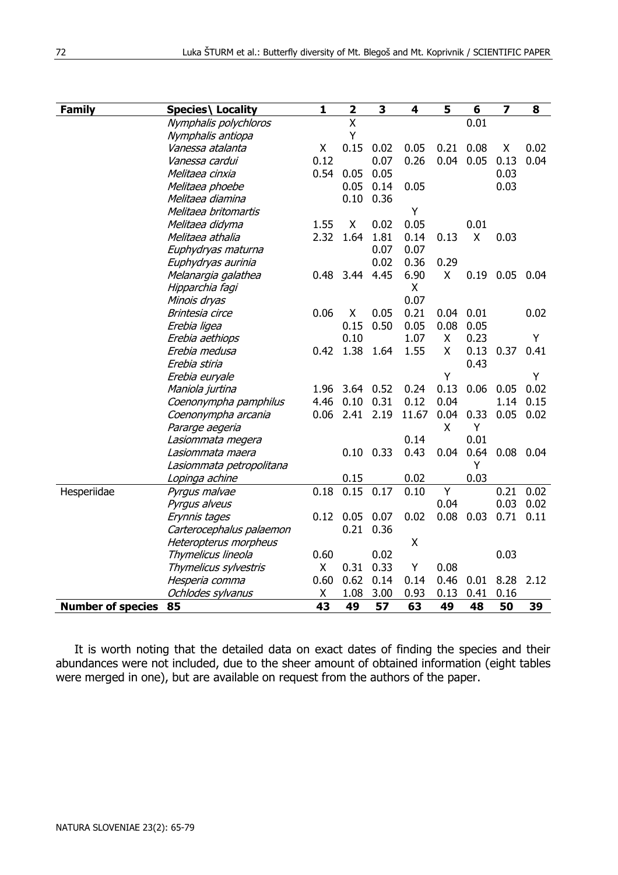| <b>Family</b>            | Species\ Locality        | 1    | 2                       | 3    | 4     | 5    | 6           | 7                | 8    |
|--------------------------|--------------------------|------|-------------------------|------|-------|------|-------------|------------------|------|
|                          | Nymphalis polychloros    |      | $\overline{\mathsf{x}}$ |      |       |      | 0.01        |                  |      |
|                          | Nymphalis antiopa        |      | Y                       |      |       |      |             |                  |      |
|                          | Vanessa atalanta         | X    | 0.15                    | 0.02 | 0.05  | 0.21 | 0.08        | Х                | 0.02 |
|                          | Vanessa cardui           | 0.12 |                         | 0.07 | 0.26  |      | $0.04$ 0.05 | 0.13             | 0.04 |
|                          | Melitaea cinxia          | 0.54 | 0.05                    | 0.05 |       |      |             | 0.03             |      |
|                          | Melitaea phoebe          |      | 0.05                    | 0.14 | 0.05  |      |             | 0.03             |      |
|                          | Melitaea diamina         |      | 0.10                    | 0.36 |       |      |             |                  |      |
|                          | Melitaea britomartis     |      |                         |      | Υ     |      |             |                  |      |
|                          | Melitaea didyma          | 1.55 | X                       | 0.02 | 0.05  |      | 0.01        |                  |      |
|                          | Melitaea athalia         | 2.32 | 1.64                    | 1.81 | 0.14  | 0.13 | X           | 0.03             |      |
|                          | Euphydryas maturna       |      |                         | 0.07 | 0.07  |      |             |                  |      |
|                          | Euphydryas aurinia       |      |                         | 0.02 | 0.36  | 0.29 |             |                  |      |
|                          | Melanargia galathea      | 0.48 | 3.44                    | 4.45 | 6.90  | X    |             | $0.19$ 0.05 0.04 |      |
|                          | Hipparchia fagi          |      |                         |      | X.    |      |             |                  |      |
|                          | Minois dryas             |      |                         |      | 0.07  |      |             |                  |      |
|                          | Brintesia circe          | 0.06 | X                       | 0.05 | 0.21  | 0.04 | 0.01        |                  | 0.02 |
|                          | Erebia ligea             |      | 0.15                    | 0.50 | 0.05  | 0.08 | 0.05        |                  |      |
|                          | Erebia aethiops          |      | 0.10                    |      | 1.07  | X    | 0.23        |                  | Y    |
|                          | Erebia medusa            | 0.42 | 1.38                    | 1.64 | 1.55  | X    | 0.13        | 0.37             | 0.41 |
|                          | Erebia stiria            |      |                         |      |       |      | 0.43        |                  |      |
|                          | Erebia euryale           |      |                         |      |       | Y    |             |                  | Y    |
|                          | Maniola jurtina          | 1.96 | 3.64                    | 0.52 | 0.24  | 0.13 | 0.06        | 0.05             | 0.02 |
|                          | Coenonympha pamphilus    | 4.46 | 0.10                    | 0.31 | 0.12  | 0.04 |             | 1.14             | 0.15 |
|                          | Coenonympha arcania      | 0.06 | 2.41                    | 2.19 | 11.67 | 0.04 | 0.33        | 0.05             | 0.02 |
|                          | Pararge aegeria          |      |                         |      |       | X    | Y           |                  |      |
|                          | Lasiommata megera        |      |                         |      | 0.14  |      | 0.01        |                  |      |
|                          | Lasiommata maera         |      | 0.10                    | 0.33 | 0.43  | 0.04 | 0.64        | $0.08$ 0.04      |      |
|                          | Lasiommata petropolitana |      |                         |      |       |      | Y           |                  |      |
|                          | Lopinga achine           |      | 0.15                    |      | 0.02  |      | 0.03        |                  |      |
| Hesperiidae              | Pyrgus malvae            | 0.18 | 0.15                    | 0.17 | 0.10  | Y    |             | 0.21             | 0.02 |
|                          | Pyrgus alveus            |      |                         |      |       | 0.04 |             | 0.03             | 0.02 |
|                          | Erynnis tages            | 0.12 | 0.05                    | 0.07 | 0.02  | 0.08 | 0.03        | 0.71             | 0.11 |
|                          | Carterocephalus palaemon |      | 0.21                    | 0.36 |       |      |             |                  |      |
|                          | Heteropterus morpheus    |      |                         |      | X     |      |             |                  |      |
|                          | Thymelicus lineola       | 0.60 |                         | 0.02 |       |      |             | 0.03             |      |
|                          | Thymelicus sylvestris    | X    | 0.31                    | 0.33 | Υ     | 0.08 |             |                  |      |
|                          | Hesperia comma           | 0.60 | 0.62                    | 0.14 | 0.14  | 0.46 | 0.01        | 8.28             | 2.12 |
|                          | Ochlodes sylvanus        | Χ    | 1.08                    | 3.00 | 0.93  | 0.13 | 0.41        | 0.16             |      |
| <b>Number of species</b> | 85                       | 43   | 49                      | 57   | 63    | 49   | 48          | 50               | 39   |

It is worth noting that the detailed data on exact dates of finding the species and their abundances were not included, due to the sheer amount of obtained information (eight tables were merged in one), but are available on request from the authors of the paper.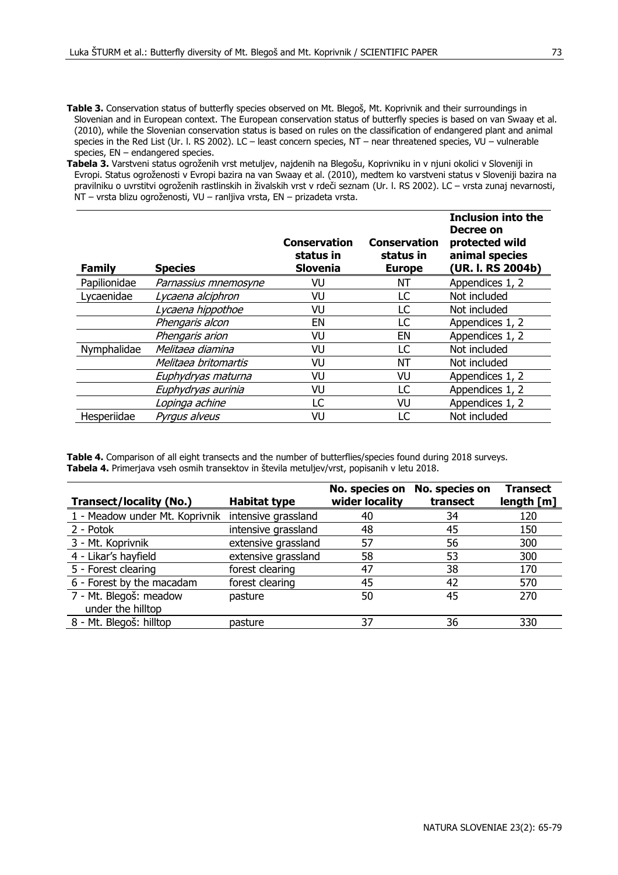- **Table 3.** Conservation status of butterfly species observed on Mt. Blegoš, Mt. Koprivnik and their surroundings in Slovenian and in European context. The European conservation status of butterfly species is based on van Swaay et al. (2010), while the Slovenian conservation status is based on rules on the classification of endangered plant and animal species in the Red List (Ur. l. RS 2002). LC – least concern species, NT – near threatened species, VU – vulnerable species, EN – endangered species.
- **Tabela 3.** Varstveni status ogroženih vrst metuljev, najdenih na Blegošu, Koprivniku in v njuni okolici v Sloveniji in Evropi. Status ogroženosti v Evropi bazira na van Swaay et al. (2010), medtem ko varstveni status v Sloveniji bazira na pravilniku o uvrstitvi ogroženih rastlinskih in živalskih vrst v rdeči seznam (Ur. l. RS 2002). LC – vrsta zunaj nevarnosti, NT – vrsta blizu ogroženosti, VU – ranljiva vrsta, EN – prizadeta vrsta.

| Family       | <b>Species</b>       | Conservation<br>status in<br><b>Slovenia</b> | <b>Conservation</b><br>status in<br><b>Europe</b> | <b>Inclusion into the</b><br>Decree on<br>protected wild<br>animal species<br>(UR. I. RS 2004b) |
|--------------|----------------------|----------------------------------------------|---------------------------------------------------|-------------------------------------------------------------------------------------------------|
| Papilionidae | Parnassius mnemosyne | VU                                           | NΤ                                                | Appendices 1, 2                                                                                 |
| Lycaenidae   | Lycaena alciphron    | VU                                           | LC                                                | Not included                                                                                    |
|              | Lycaena hippothoe    | VU                                           | LC                                                | Not included                                                                                    |
|              | Phengaris alcon      | ΕN                                           | LC                                                | Appendices 1, 2                                                                                 |
|              | Phengaris arion      | VU                                           | EN                                                | Appendices 1, 2                                                                                 |
| Nymphalidae  | Melitaea diamina     | VU                                           | LC                                                | Not included                                                                                    |
|              | Melitaea britomartis | VU                                           | NΤ                                                | Not included                                                                                    |
|              | Euphydryas maturna   | VU                                           | VU                                                | Appendices 1, 2                                                                                 |
|              | Euphydryas aurinia   | VU                                           | LC                                                | Appendices 1, 2                                                                                 |
|              | Lopinga achine       | LC                                           | VU                                                | Appendices 1, 2                                                                                 |
| Hesperiidae  | Pyraus alveus        | VU                                           | LC                                                | Not included                                                                                    |

**Table 4.** Comparison of all eight transects and the number of butterflies/species found during 2018 surveys. **Tabela 4.** Primerjava vseh osmih transektov in števila metuljev/vrst, popisanih v letu 2018.

|                                             |                     | No. species on | No. species on | <b>Transect</b> |
|---------------------------------------------|---------------------|----------------|----------------|-----------------|
| Transect/locality (No.)                     | <b>Habitat type</b> | wider locality | transect       | length [m]      |
| 1 - Meadow under Mt. Koprivnik              | intensive grassland | 40             | 34             | 120             |
| 2 - Potok                                   | intensive grassland | 48             | 45             | 150             |
| 3 - Mt. Koprivnik                           | extensive grassland | 57             | 56             | 300             |
| 4 - Likar's hayfield                        | extensive grassland | 58             | 53             | 300             |
| 5 - Forest clearing                         | forest clearing     | 47             | 38             | 170             |
| 6 - Forest by the macadam                   | forest clearing     | 45             | 42             | 570             |
| 7 - Mt. Blegoš: meadow<br>under the hilltop | pasture             | 50             | 45             | 270             |
| 8 - Mt. Blegoš: hilltop                     | pasture             | 37             | 36             | 330             |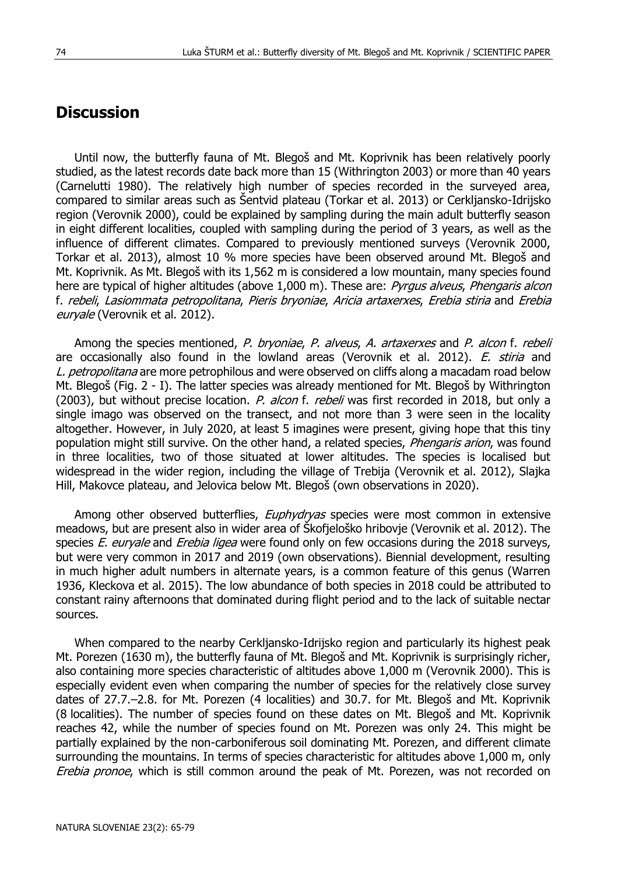### **Discussion**

Until now, the butterfly fauna of Mt. Blegoš and Mt. Koprivnik has been relatively poorly studied, as the latest records date back more than 15 (Withrington 2003) or more than 40 years (Carnelutti 1980). The relatively high number of species recorded in the surveyed area, compared to similar areas such as Šentvid plateau (Torkar et al. 2013) or Cerkljansko-Idrijsko region (Verovnik 2000), could be explained by sampling during the main adult butterfly season in eight different localities, coupled with sampling during the period of 3 years, as well as the influence of different climates. Compared to previously mentioned surveys (Verovnik 2000, Torkar et al. 2013), almost 10 % more species have been observed around Mt. Blegoš and Mt. Koprivnik. As Mt. Blegoš with its 1,562 m is considered a low mountain, many species found here are typical of higher altitudes (above 1,000 m). These are: Pyrgus alveus, Phengaris alcon f. rebeli, Lasiommata petropolitana, Pieris bryoniae, Aricia artaxerxes, Erebia stiria and Erebia euryale (Verovnik et al. 2012).

Among the species mentioned, P. bryoniae, P. alveus, A. artaxerxes and P. alcon f. rebeli are occasionally also found in the lowland areas (Verovnik et al. 2012). E. stiria and L. petropolitana are more petrophilous and were observed on cliffs along a macadam road below Mt. Blegoš (Fig. 2 - I). The latter species was already mentioned for Mt. Blegoš by Withrington (2003), but without precise location. P. alcon f. rebeli was first recorded in 2018, but only a single imago was observed on the transect, and not more than 3 were seen in the locality altogether. However, in July 2020, at least 5 imagines were present, giving hope that this tiny population might still survive. On the other hand, a related species, *Phengaris arion*, was found in three localities, two of those situated at lower altitudes. The species is localised but widespread in the wider region, including the village of Trebija (Verovnik et al. 2012), Slajka Hill, Makovce plateau, and Jelovica below Mt. Blegoš (own observations in 2020).

Among other observed butterflies, Euphydryas species were most common in extensive meadows, but are present also in wider area of Škofjeloško hribovje (Verovnik et al. 2012). The species *E. euryale* and *Erebia ligea* were found only on few occasions during the 2018 surveys, but were very common in 2017 and 2019 (own observations). Biennial development, resulting in much higher adult numbers in alternate years, is a common feature of this genus (Warren 1936, Kleckova et al. 2015). The low abundance of both species in 2018 could be attributed to constant rainy afternoons that dominated during flight period and to the lack of suitable nectar sources.

When compared to the nearby Cerkljansko-Idrijsko region and particularly its highest peak Mt. Porezen (1630 m), the butterfly fauna of Mt. Blegoš and Mt. Koprivnik is surprisingly richer, also containing more species characteristic of altitudes above 1,000 m (Verovnik 2000). This is especially evident even when comparing the number of species for the relatively close survey dates of 27.7.–2.8. for Mt. Porezen (4 localities) and 30.7. for Mt. Blegoš and Mt. Koprivnik (8 localities). The number of species found on these dates on Mt. Blegoš and Mt. Koprivnik reaches 42, while the number of species found on Mt. Porezen was only 24. This might be partially explained by the non-carboniferous soil dominating Mt. Porezen, and different climate surrounding the mountains. In terms of species characteristic for altitudes above 1,000 m, only Erebia pronoe, which is still common around the peak of Mt. Porezen, was not recorded on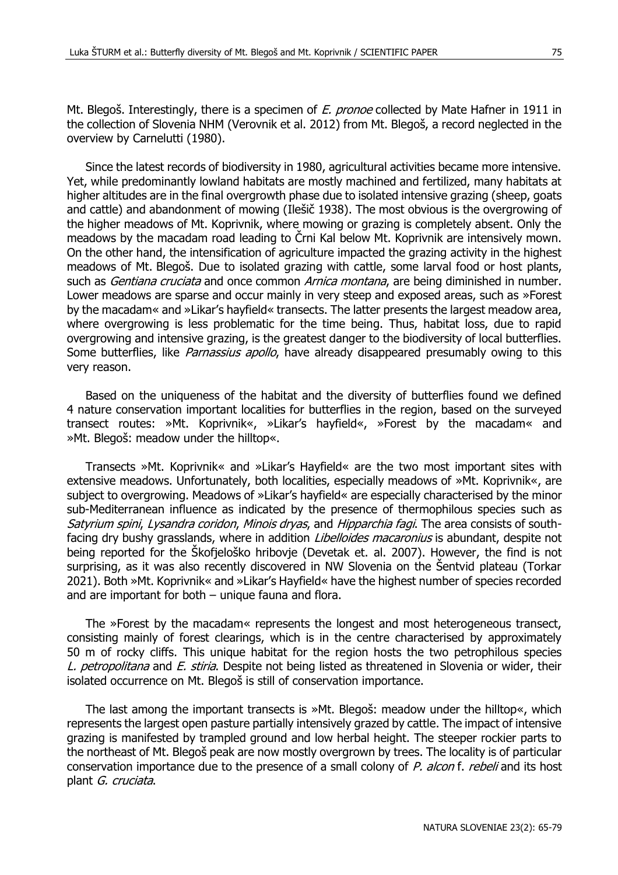Mt. Blegoš. Interestingly, there is a specimen of E. pronoe collected by Mate Hafner in 1911 in the collection of Slovenia NHM (Verovnik et al. 2012) from Mt. Blegoš, a record neglected in the overview by Carnelutti (1980).

Since the latest records of biodiversity in 1980, agricultural activities became more intensive. Yet, while predominantly lowland habitats are mostly machined and fertilized, many habitats at higher altitudes are in the final overgrowth phase due to isolated intensive grazing (sheep, goats and cattle) and abandonment of mowing (Ilešič 1938). The most obvious is the overgrowing of the higher meadows of Mt. Koprivnik, where mowing or grazing is completely absent. Only the meadows by the macadam road leading to Črni Kal below Mt. Koprivnik are intensively mown. On the other hand, the intensification of agriculture impacted the grazing activity in the highest meadows of Mt. Blegoš. Due to isolated grazing with cattle, some larval food or host plants, such as Gentiana cruciata and once common Arnica montana, are being diminished in number. Lower meadows are sparse and occur mainly in very steep and exposed areas, such as »Forest by the macadam« and »Likar's hayfield« transects. The latter presents the largest meadow area, where overgrowing is less problematic for the time being. Thus, habitat loss, due to rapid overgrowing and intensive grazing, is the greatest danger to the biodiversity of local butterflies. Some butterflies, like *Parnassius apollo*, have already disappeared presumably owing to this very reason.

Based on the uniqueness of the habitat and the diversity of butterflies found we defined 4 nature conservation important localities for butterflies in the region, based on the surveyed transect routes: »Mt. Koprivnik«, »Likar's hayfield«, »Forest by the macadam« and »Mt. Blegoš: meadow under the hilltop«.

Transects »Mt. Koprivnik« and »Likar's Hayfield« are the two most important sites with extensive meadows. Unfortunately, both localities, especially meadows of »Mt. Koprivnik«, are subject to overgrowing. Meadows of »Likar's hayfield« are especially characterised by the minor sub-Mediterranean influence as indicated by the presence of thermophilous species such as Satyrium spini, Lysandra coridon, Minois dryas, and Hipparchia fagi. The area consists of southfacing dry bushy grasslands, where in addition Libelloides macaronius is abundant, despite not being reported for the Škofjeloško hribovje (Devetak et. al. 2007). However, the find is not surprising, as it was also recently discovered in NW Slovenia on the Šentvid plateau (Torkar 2021). Both »Mt. Koprivnik« and »Likar's Hayfield« have the highest number of species recorded and are important for both – unique fauna and flora.

The »Forest by the macadam« represents the longest and most heterogeneous transect, consisting mainly of forest clearings, which is in the centre characterised by approximately 50 m of rocky cliffs. This unique habitat for the region hosts the two petrophilous species L. petropolitana and E. stiria. Despite not being listed as threatened in Slovenia or wider, their isolated occurrence on Mt. Blegoš is still of conservation importance.

The last among the important transects is »Mt. Blegoš: meadow under the hilltop«, which represents the largest open pasture partially intensively grazed by cattle. The impact of intensive grazing is manifested by trampled ground and low herbal height. The steeper rockier parts to the northeast of Mt. Blegoš peak are now mostly overgrown by trees. The locality is of particular conservation importance due to the presence of a small colony of P. alcon f. rebeli and its host plant G. cruciata.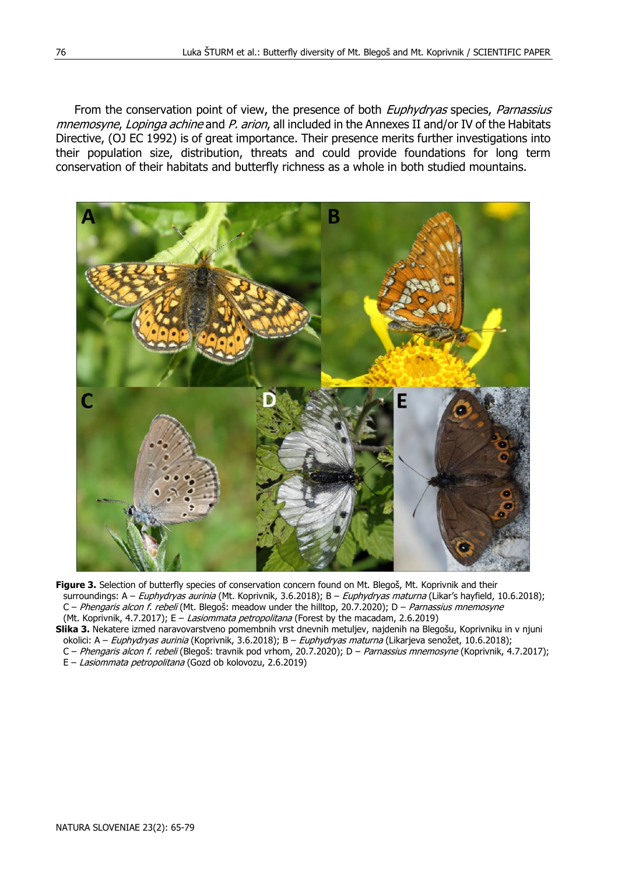From the conservation point of view, the presence of both *Euphydryas* species, *Parnassius* mnemosyne, Lopinga achine and P. arion, all included in the Annexes II and/or IV of the Habitats Directive, (OJ EC 1992) is of great importance. Their presence merits further investigations into their population size, distribution, threats and could provide foundations for long term conservation of their habitats and butterfly richness as a whole in both studied mountains.



- **Figure 3.** Selection of butterfly species of conservation concern found on Mt. Blegoš, Mt. Koprivnik and their surroundings: A – Euphydryas aurinia (Mt. Koprivnik, 3.6.2018); B – Euphydryas maturna (Likar's hayfield, 10.6.2018); C – Phengaris alcon f. rebeli (Mt. Blegoš: meadow under the hilltop, 20.7.2020); D – Parnassius mnemosyne (Mt. Koprivnik, 4.7.2017); E - Lasiommata petropolitana (Forest by the macadam, 2.6.2019)
- **Slika 3.** Nekatere izmed naravovarstveno pomembnih vrst dnevnih metuljev, najdenih na Blegošu, Koprivniku in v njuni okolici: A – Euphydryas aurinia (Koprivnik, 3.6.2018); B – Euphydryas maturna (Likarjeva senožet, 10.6.2018); C – Phengaris alcon f. rebeli (Blegoš: travnik pod vrhom, 20.7.2020); D – Parnassius mnemosyne (Koprivnik, 4.7.2017); E – Lasiommata petropolitana (Gozd ob kolovozu, 2.6.2019)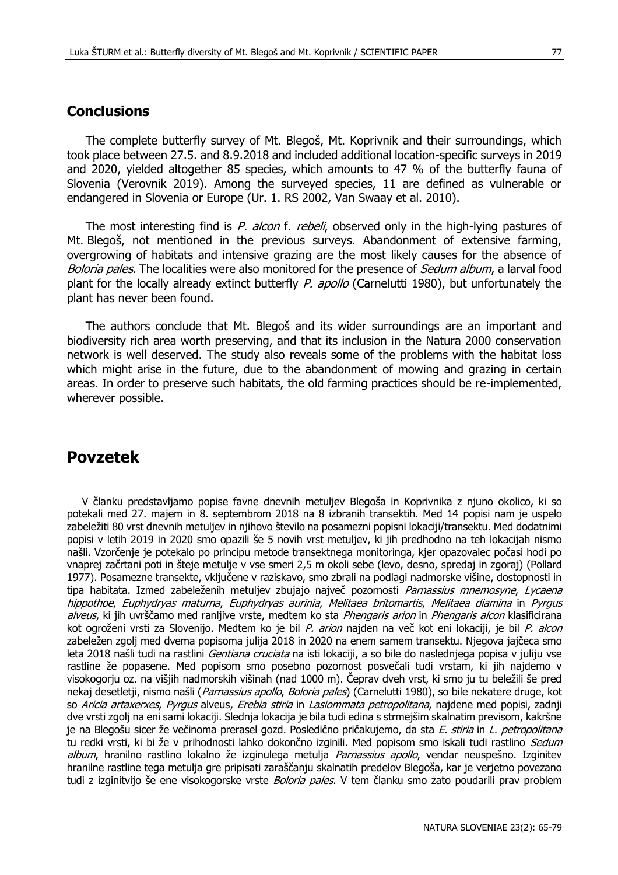#### **Conclusions**

The complete butterfly survey of Mt. Blegoš, Mt. Koprivnik and their surroundings, which took place between 27.5. and 8.9.2018 and included additional location-specific surveys in 2019 and 2020, yielded altogether 85 species, which amounts to 47 % of the butterfly fauna of Slovenia (Verovnik 2019). Among the surveyed species, 11 are defined as vulnerable or endangered in Slovenia or Europe (Ur. 1. RS 2002, Van Swaay et al. 2010).

The most interesting find is P, alcon f, rebeli, observed only in the high-lying pastures of Mt. Blegoš, not mentioned in the previous surveys. Abandonment of extensive farming, overgrowing of habitats and intensive grazing are the most likely causes for the absence of Boloria pales. The localities were also monitored for the presence of Sedum album, a larval food plant for the locally already extinct butterfly P. apollo (Carnelutti 1980), but unfortunately the plant has never been found.

The authors conclude that Mt. Blegoš and its wider surroundings are an important and biodiversity rich area worth preserving, and that its inclusion in the Natura 2000 conservation network is well deserved. The study also reveals some of the problems with the habitat loss which might arise in the future, due to the abandonment of mowing and grazing in certain areas. In order to preserve such habitats, the old farming practices should be re-implemented, wherever possible.

#### **Povzetek**

V članku predstavljamo popise favne dnevnih metuljev Blegoša in Koprivnika z njuno okolico, ki so potekali med 27. majem in 8. septembrom 2018 na 8 izbranih transektih. Med 14 popisi nam je uspelo zabeležiti 80 vrst dnevnih metuljev in njihovo število na posamezni popisni lokaciji/transektu. Med dodatnimi popisi v letih 2019 in 2020 smo opazili še 5 novih vrst metuljev, ki jih predhodno na teh lokacijah nismo našli. Vzorčenje je potekalo po principu metode transektnega monitoringa, kjer opazovalec počasi hodi po vnaprej začrtani poti in šteje metulje v vse smeri 2,5 m okoli sebe (levo, desno, spredaj in zgoraj) (Pollard 1977). Posamezne transekte, vključene v raziskavo, smo zbrali na podlagi nadmorske višine, dostopnosti in tipa habitata. Izmed zabeleženih metuljev zbujajo največ pozornosti Parnassius mnemosyne, Lycaena hippothoe, Euphydryas maturna, Euphydryas aurinia, Melitaea britomartis, Melitaea diamina in Pyrgus alveus, ki jih uvrščamo med ranljive vrste, medtem ko sta Phengaris arion in Phengaris alcon klasificirana kot ogroženi vrsti za Slovenijo. Medtem ko je bil P. arion najden na več kot eni lokaciji, je bil P. alcon zabeležen zgolj med dvema popisoma julija 2018 in 2020 na enem samem transektu. Njegova jajčeca smo leta 2018 našli tudi na rastlini *Gentiana cruciata* na isti lokaciji, a so bile do naslednjega popisa v juliju vse rastline že popasene. Med popisom smo posebno pozornost posvečali tudi vrstam, ki jih najdemo v visokogorju oz. na višjih nadmorskih višinah (nad 1000 m). Čeprav dveh vrst, ki smo ju tu beležili še pred nekaj desetletji, nismo našli (Parnassius apollo, Boloria pales) (Carnelutti 1980), so bile nekatere druge, kot so Aricia artaxerxes, Pyrgus alveus, Erebia stiria in Lasiommata petropolitana, najdene med popisi, zadnji dve vrsti zgolj na eni sami lokaciji. Slednja lokacija je bila tudi edina s strmejšim skalnatim previsom, kakršne je na Blegošu sicer že večinoma prerasel gozd. Posledično pričakujemo, da sta E. stiria in L. petropolitana tu redki vrsti, ki bi že v prihodnosti lahko dokončno izginili. Med popisom smo iskali tudi rastlino Sedum album, hranilno rastlino lokalno že izginulega metulja *Parnassius apollo*, vendar neuspešno. Izginitev hranilne rastline tega metulja gre pripisati zaraščanju skalnatih predelov Blegoša, kar je verjetno povezano tudi z izginitvijo še ene visokogorske vrste *Boloria pales*. V tem članku smo zato poudarili prav problem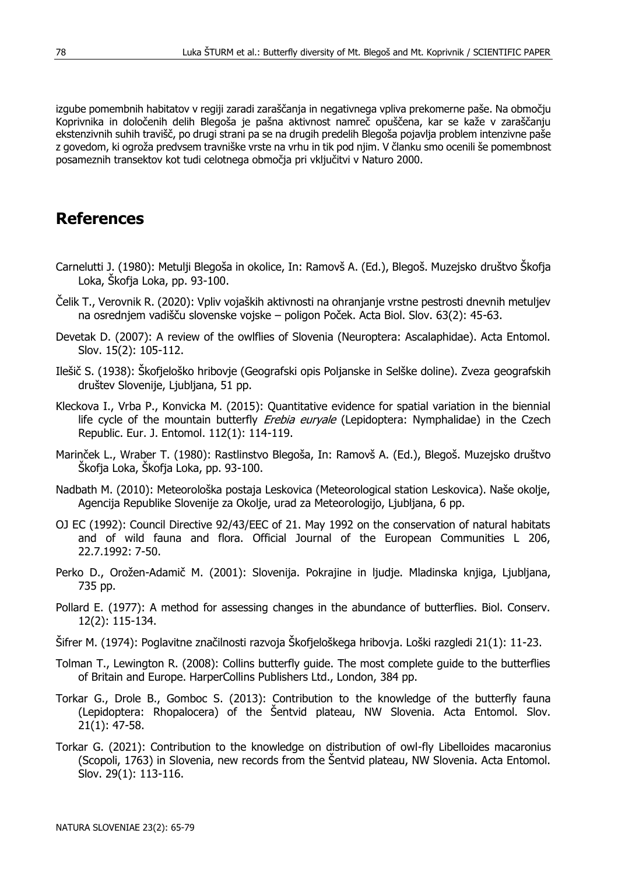izgube pomembnih habitatov v regiji zaradi zaraščanja in negativnega vpliva prekomerne paše. Na območju Koprivnika in določenih delih Blegoša je pašna aktivnost namreč opuščena, kar se kaže v zaraščanju ekstenzivnih suhih travišč, po drugi strani pa se na drugih predelih Blegoša pojavlja problem intenzivne paše z govedom, ki ogroža predvsem travniške vrste na vrhu in tik pod njim. V članku smo ocenili še pomembnost posameznih transektov kot tudi celotnega območja pri vključitvi v Naturo 2000.

## **References**

- Carnelutti J. (1980): Metulji Blegoša in okolice, In: Ramovš A. (Ed.), Blegoš. Muzejsko društvo Škofja Loka, Škofja Loka, pp. 93-100.
- Čelik T., Verovnik R. (2020): Vpliv vojaških aktivnosti na ohranjanje vrstne pestrosti dnevnih metuljev na osrednjem vadišču slovenske vojske – poligon Poček. Acta Biol. Slov. 63(2): 45-63.
- Devetak D. (2007): A review of the owlflies of Slovenia (Neuroptera: Ascalaphidae). Acta Entomol. Slov. 15(2): 105-112.
- Ilešič S. (1938): Škofjeloško hribovje (Geografski opis Poljanske in Selške doline). Zveza geografskih društev Slovenije, Ljubljana, 51 pp.
- Kleckova I., Vrba P., Konvicka M. (2015): Quantitative evidence for spatial variation in the biennial life cycle of the mountain butterfly *Erebia euryale* (Lepidoptera: Nymphalidae) in the Czech Republic. Eur. J. Entomol. 112(1): 114-119.
- Marinček L., Wraber T. (1980): Rastlinstvo Blegoša, In: Ramovš A. (Ed.), Blegoš. Muzejsko društvo Škofja Loka, Škofja Loka, pp. 93-100.
- Nadbath M. (2010): Meteorološka postaja Leskovica (Meteorological station Leskovica). Naše okolje, Agencija Republike Slovenije za Okolje, urad za Meteorologijo, Ljubljana, 6 pp.
- OJ EC (1992): Council Directive 92/43/EEC of 21. May 1992 on the conservation of natural habitats and of wild fauna and flora. Official Journal of the European Communities L 206, 22.7.1992: 7-50.
- Perko D., Orožen-Adamič M. (2001): Slovenija. Pokrajine in ljudje. Mladinska knjiga, Ljubljana, 735 pp.
- Pollard E. (1977): A method for assessing changes in the abundance of butterflies. Biol. Conserv. 12(2): 115-134.
- Šifrer M. (1974): Poglavitne značilnosti razvoja Škofjeloškega hribovja. Loški razgledi 21(1): 11-23.
- Tolman T., Lewington R. (2008): Collins butterfly guide. The most complete guide to the butterflies of Britain and Europe. HarperCollins Publishers Ltd., London, 384 pp.
- Torkar G., Drole B., Gomboc S. (2013): Contribution to the knowledge of the butterfly fauna (Lepidoptera: Rhopalocera) of the Šentvid plateau, NW Slovenia. Acta Entomol. Slov. 21(1): 47-58.
- Torkar G. (2021): Contribution to the knowledge on distribution of owl-fly Libelloides macaronius (Scopoli, 1763) in Slovenia, new records from the Šentvid plateau, NW Slovenia. Acta Entomol. Slov. 29(1): 113-116.